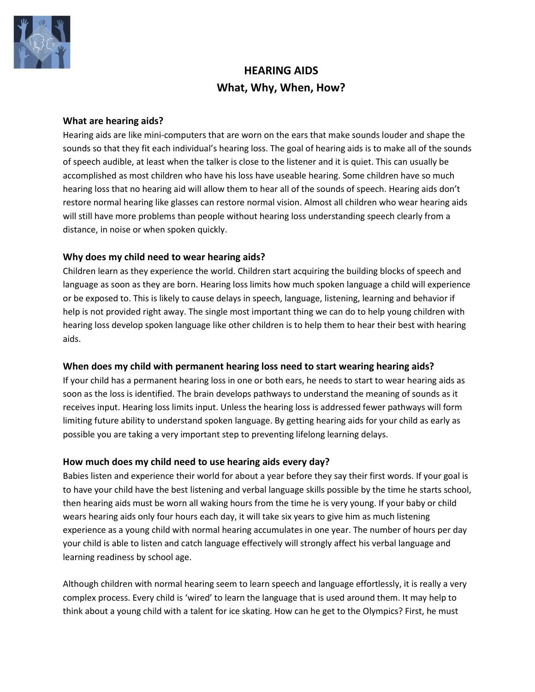

# **HEARING AIDS What, Why, When, How?**

## **What are hearing aids?**

Hearing aids are like mini-computers that are worn on the ears that make sounds louder and shape the sounds so that they fit each individual's hearing loss. The goal of hearing aids is to make all of the sounds of speech audible, at least when the talker is close to the listener and it is quiet. This can usually be accomplished as most children who have his loss have useable hearing. Some children have so much hearing loss that no hearing aid will allow them to hear all of the sounds of speech. Hearing aids don't restore normal hearing like glasses can restore normal vision. Almost all children who wear hearing aids will still have more problems than people without hearing loss understanding speech clearly from a distance, in noise or when spoken quickly.

## **Why does my child need to wear hearing aids?**

Children learn as they experience the world. Children start acquiring the building blocks of speech and language as soon as they are born. Hearing loss limits how much spoken language a child will experience or be exposed to. This is likely to cause delays in speech, language, listening, learning and behavior if help is not provided right away. The single most important thing we can do to help young children with hearing loss develop spoken language like other children is to help them to hear their best with hearing aids.

#### **When does my child with permanent hearing loss need to start wearing hearing aids?**

If your child has a permanent hearing loss in one or both ears, he needs to start to wear hearing aids as soon as the loss is identified. The brain develops pathways to understand the meaning of sounds as it receives input. Hearing loss limits input. Unless the hearing loss is addressed fewer pathways will form limiting future ability to understand spoken language. By getting hearing aids for your child as early as possible you are taking a very important step to preventing lifelong learning delays.

## **How much does my child need to use hearing aids every day?**

Babies listen and experience their world for about a year before they say their first words. If your goal is to have your child have the best listening and verbal language skills possible by the time he starts school, then hearing aids must be worn all waking hours from the time he is very young. If your baby or child wears hearing aids only four hours each day, it will take six years to give him as much listening experience as a young child with normal hearing accumulates in one year. The number of hours per day your child is able to listen and catch language effectively will strongly affect his verbal language and learning readiness by school age.

Although children with normal hearing seem to learn speech and language effortlessly, it is really a very complex process. Every child is 'wired' to learn the language that is used around them. It may help to think about a young child with a talent for ice skating. How can he get to the Olympics? First, he must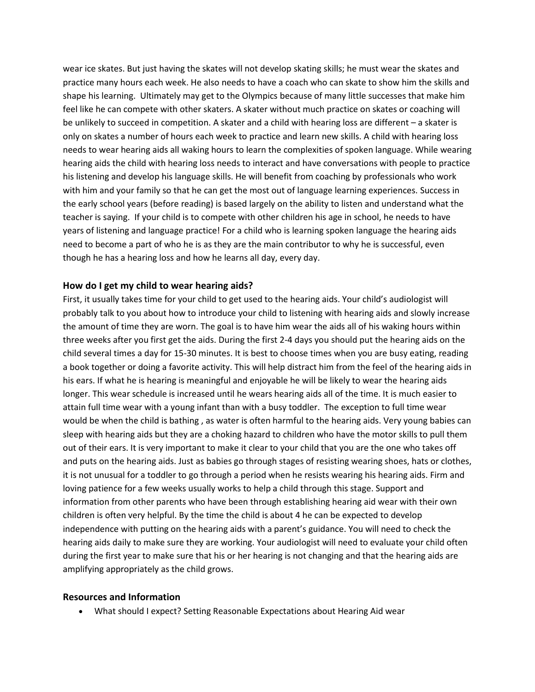wear ice skates. But just having the skates will not develop skating skills; he must wear the skates and practice many hours each week. He also needs to have a coach who can skate to show him the skills and shape his learning. Ultimately may get to the Olympics because of many little successes that make him feel like he can compete with other skaters. A skater without much practice on skates or coaching will be unlikely to succeed in competition. A skater and a child with hearing loss are different – a skater is only on skates a number of hours each week to practice and learn new skills. A child with hearing loss needs to wear hearing aids all waking hours to learn the complexities of spoken language. While wearing hearing aids the child with hearing loss needs to interact and have conversations with people to practice his listening and develop his language skills. He will benefit from coaching by professionals who work with him and your family so that he can get the most out of language learning experiences. Success in the early school years (before reading) is based largely on the ability to listen and understand what the teacher is saying. If your child is to compete with other children his age in school, he needs to have years of listening and language practice! For a child who is learning spoken language the hearing aids need to become a part of who he is as they are the main contributor to why he is successful, even though he has a hearing loss and how he learns all day, every day.

#### **How do I get my child to wear hearing aids?**

First, it usually takes time for your child to get used to the hearing aids. Your child's audiologist will probably talk to you about how to introduce your child to listening with hearing aids and slowly increase the amount of time they are worn. The goal is to have him wear the aids all of his waking hours within three weeks after you first get the aids. During the first 2-4 days you should put the hearing aids on the child several times a day for 15-30 minutes. It is best to choose times when you are busy eating, reading a book together or doing a favorite activity. This will help distract him from the feel of the hearing aids in his ears. If what he is hearing is meaningful and enjoyable he will be likely to wear the hearing aids longer. This wear schedule is increased until he wears hearing aids all of the time. It is much easier to attain full time wear with a young infant than with a busy toddler. The exception to full time wear would be when the child is bathing , as water is often harmful to the hearing aids. Very young babies can sleep with hearing aids but they are a choking hazard to children who have the motor skills to pull them out of their ears. It is very important to make it clear to your child that you are the one who takes off and puts on the hearing aids. Just as babies go through stages of resisting wearing shoes, hats or clothes, it is not unusual for a toddler to go through a period when he resists wearing his hearing aids. Firm and loving patience for a few weeks usually works to help a child through this stage. Support and information from other parents who have been through establishing hearing aid wear with their own children is often very helpful. By the time the child is about 4 he can be expected to develop independence with putting on the hearing aids with a parent's guidance. You will need to check the hearing aids daily to make sure they are working. Your audiologist will need to evaluate your child often during the first year to make sure that his or her hearing is not changing and that the hearing aids are amplifying appropriately as the child grows.

#### **Resources and Information**

What should I expect? Setting Reasonable Expectations about Hearing Aid wear